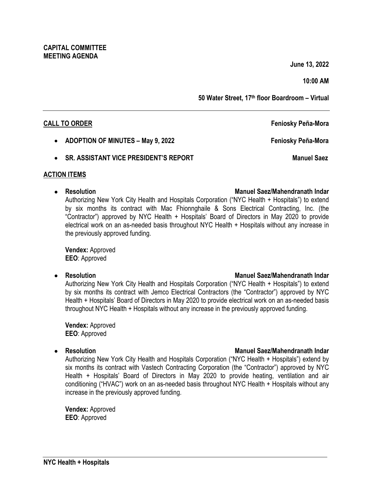**June 13, 2022** 

**10:00 AM** 

**50 Water Street, 17th floor Boardroom – Virtual**

- **ADOPTION OF MINUTES May 9, 2022** Feniosky Peña-Mora
- **SR. ASSISTANT VICE PRESIDENT'S REPORT Manuel Saez**

#### **ACTION ITEMS**

• **Resolution Manuel Saez/Mahendranath Indar**

Authorizing New York City Health and Hospitals Corporation ("NYC Health + Hospitals") to extend by six months its contract with Mac Fhionnghaile & Sons Electrical Contracting, Inc. (the "Contractor") approved by NYC Health + Hospitals' Board of Directors in May 2020 to provide electrical work on an as-needed basis throughout NYC Health + Hospitals without any increase in the previously approved funding.

**Vendex:** Approved **EEO**: Approved

Authorizing New York City Health and Hospitals Corporation ("NYC Health + Hospitals") to extend by six months its contract with Jemco Electrical Contractors (the "Contractor") approved by NYC Health + Hospitals' Board of Directors in May 2020 to provide electrical work on an as-needed basis throughout NYC Health + Hospitals without any increase in the previously approved funding.

**Vendex:** Approved **EEO**: Approved

Authorizing New York City Health and Hospitals Corporation ("NYC Health + Hospitals") extend by six months its contract with Vastech Contracting Corporation (the "Contractor") approved by NYC Health + Hospitals' Board of Directors in May 2020 to provide heating, ventilation and air conditioning ("HVAC") work on an as-needed basis throughout NYC Health + Hospitals without any increase in the previously approved funding.

**Vendex:** Approved **EEO**: Approved

#### • **Resolution Manuel Saez/Mahendranath Indar**

#### • **Resolution Manuel Saez/Mahendranath Indar**

**CALL TO ORDER Feniosky Peña-Mora**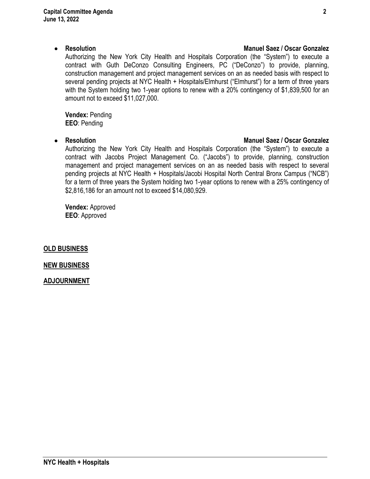#### • **Resolution Manuel Saez / Oscar Gonzalez**

Authorizing the New York City Health and Hospitals Corporation (the "System") to execute a contract with Guth DeConzo Consulting Engineers, PC ("DeConzo") to provide, planning, construction management and project management services on an as needed basis with respect to several pending projects at NYC Health + Hospitals/Elmhurst ("Elmhurst") for a term of three years with the System holding two 1-year options to renew with a 20% contingency of \$1,839,500 for an amount not to exceed \$11,027,000.

**Vendex:** Pending **EEO**: Pending

#### • **Resolution Manuel Saez / Oscar Gonzalez**

Authorizing the New York City Health and Hospitals Corporation (the "System") to execute a contract with Jacobs Project Management Co. ("Jacobs") to provide, planning, construction management and project management services on an as needed basis with respect to several pending projects at NYC Health + Hospitals/Jacobi Hospital North Central Bronx Campus ("NCB") for a term of three years the System holding two 1-year options to renew with a 25% contingency of \$2,816,186 for an amount not to exceed \$14,080,929.

**Vendex:** Approved **EEO**: Approved

**OLD BUSINESS**

#### **NEW BUSINESS**

**ADJOURNMENT**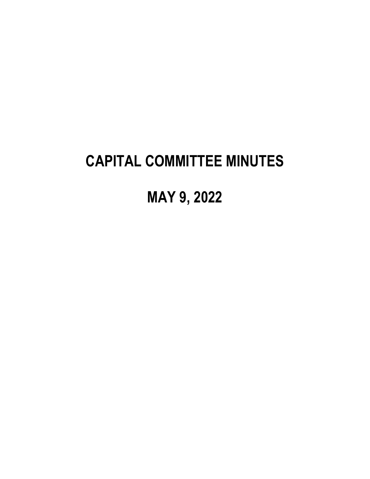# **CAPITAL COMMITTEE MINUTES**

**MAY 9, 2022**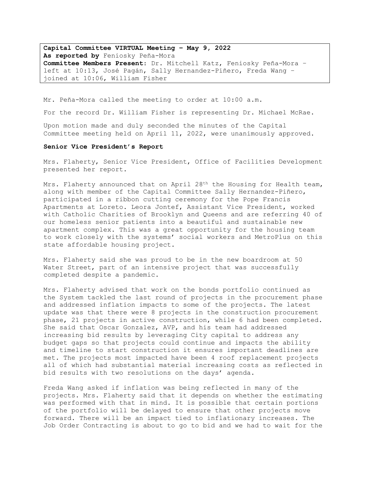**Capital Committee VIRTUAL Meeting – May 9, 2022 As reported by** Feniosky Peña-Mora **Committee Members Present**: Dr. Mitchell Katz, Feniosky Peña-Mora – left at 10:13, José Pagán, Sally Hernandez-Piñero, Freda Wang – joined at 10:06, William Fisher

Mr. Peña-Mora called the meeting to order at 10:00 a.m.

For the record Dr. William Fisher is representing Dr. Michael McRae.

Upon motion made and duly seconded the minutes of the Capital Committee meeting held on April 11, 2022, were unanimously approved.

#### **Senior Vice President's Report**

Mrs. Flaherty, Senior Vice President, Office of Facilities Development presented her report.

Mrs. Flaherty announced that on April 28<sup>th</sup> the Housing for Health team, along with member of the Capital Committee Sally Hernandez-Piñero, participated in a ribbon cutting ceremony for the Pope Francis Apartments at Loreto. Leora Jontef, Assistant Vice President, worked with Catholic Charities of Brooklyn and Queens and are referring 40 of our homeless senior patients into a beautiful and sustainable new apartment complex. This was a great opportunity for the housing team to work closely with the systems' social workers and MetroPlus on this state affordable housing project.

Mrs. Flaherty said she was proud to be in the new boardroom at 50 Water Street, part of an intensive project that was successfully completed despite a pandemic.

Mrs. Flaherty advised that work on the bonds portfolio continued as the System tackled the last round of projects in the procurement phase and addressed inflation impacts to some of the projects. The latest update was that there were 8 projects in the construction procurement phase, 21 projects in active construction, while 6 had been completed. She said that Oscar Gonzalez, AVP, and his team had addressed increasing bid results by leveraging City capital to address any budget gaps so that projects could continue and impacts the ability and timeline to start construction it ensures important deadlines are met. The projects most impacted have been 4 roof replacement projects all of which had substantial material increasing costs as reflected in bid results with two resolutions on the days' agenda.

Freda Wang asked if inflation was being reflected in many of the projects. Mrs. Flaherty said that it depends on whether the estimating was performed with that in mind. It is possible that certain portions of the portfolio will be delayed to ensure that other projects move forward. There will be an impact tied to inflationary increases. The Job Order Contracting is about to go to bid and we had to wait for the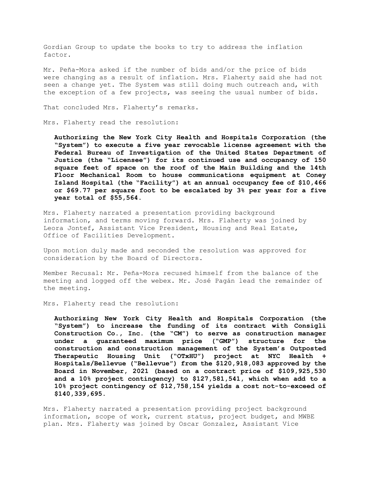Gordian Group to update the books to try to address the inflation factor.

Mr. Peña-Mora asked if the number of bids and/or the price of bids were changing as a result of inflation. Mrs. Flaherty said she had not seen a change yet. The System was still doing much outreach and, with the exception of a few projects, was seeing the usual number of bids.

That concluded Mrs. Flaherty's remarks.

Mrs. Flaherty read the resolution:

**Authorizing the New York City Health and Hospitals Corporation (the "System") to execute a five year revocable license agreement with the Federal Bureau of Investigation of the United States Department of Justice (the "Licensee") for its continued use and occupancy of 150 square feet of space on the roof of the Main Building and the 14th Floor Mechanical Room to house communications equipment at Coney Island Hospital (the "Facility") at an annual occupancy fee of \$10,466 or \$69.77 per square foot to be escalated by 3% per year for a five year total of \$55,564.** 

Mrs. Flaherty narrated a presentation providing background information, and terms moving forward. Mrs. Flaherty was joined by Leora Jontef, Assistant Vice President, Housing and Real Estate, Office of Facilities Development.

Upon motion duly made and seconded the resolution was approved for consideration by the Board of Directors.

Member Recusal: Mr. Peña-Mora recused himself from the balance of the meeting and logged off the webex. Mr. José Pagán lead the remainder of the meeting.

Mrs. Flaherty read the resolution:

**Authorizing New York City Health and Hospitals Corporation (the "System") to increase the funding of its contract with Consigli Construction Co., Inc. (the "CM") to serve as construction manager under a guaranteed maximum price ("GMP") structure for the construction and construction management of the System's Outposted Therapeutic Housing Unit ("OTxHU") project at NYC Health + Hospitals/Bellevue ("Bellevue") from the \$120,918,083 approved by the Board in November, 2021 (based on a contract price of \$109,925,530 and a 10% project contingency) to \$127,581,541, which when add to a 10% project contingency of \$12,758,154 yields a cost not-to-exceed of \$140,339,695.** 

Mrs. Flaherty narrated a presentation providing project background information, scope of work, current status, project budget, and MWBE plan. Mrs. Flaherty was joined by Oscar Gonzalez, Assistant Vice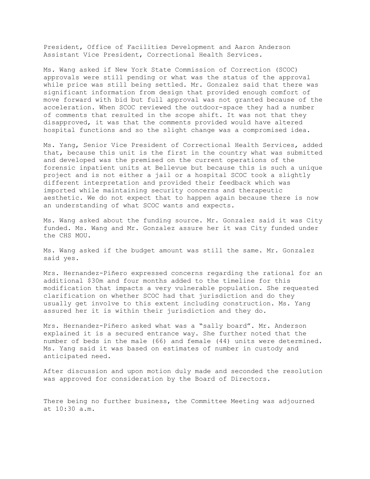President, Office of Facilities Development and Aaron Anderson Assistant Vice President, Correctional Health Services.

Ms. Wang asked if New York State Commission of Correction (SCOC) approvals were still pending or what was the status of the approval while price was still being settled. Mr. Gonzalez said that there was significant information from design that provided enough comfort of move forward with bid but full approval was not granted because of the acceleration. When SCOC reviewed the outdoor-space they had a number of comments that resulted in the scope shift. It was not that they disapproved, it was that the comments provided would have altered hospital functions and so the slight change was a compromised idea.

Ms. Yang, Senior Vice President of Correctional Health Services, added that, because this unit is the first in the country what was submitted and developed was the premised on the current operations of the forensic inpatient units at Bellevue but because this is such a unique project and is not either a jail or a hospital SCOC took a slightly different interpretation and provided their feedback which was imported while maintaining security concerns and therapeutic aesthetic. We do not expect that to happen again because there is now an understanding of what SCOC wants and expects.

Ms. Wang asked about the funding source. Mr. Gonzalez said it was City funded. Ms. Wang and Mr. Gonzalez assure her it was City funded under the CHS MOU.

Ms. Wang asked if the budget amount was still the same. Mr. Gonzalez said yes.

Mrs. Hernandez-Piñero expressed concerns regarding the rational for an additional \$30m and four months added to the timeline for this modification that impacts a very vulnerable population. She requested clarification on whether SCOC had that jurisdiction and do they usually get involve to this extent including construction. Ms. Yang assured her it is within their jurisdiction and they do.

Mrs. Hernandez-Piñero asked what was a "sally board". Mr. Anderson explained it is a secured entrance way. She further noted that the number of beds in the male (66) and female (44) units were determined. Ms. Yang said it was based on estimates of number in custody and anticipated need.

After discussion and upon motion duly made and seconded the resolution was approved for consideration by the Board of Directors.

There being no further business, the Committee Meeting was adjourned at 10:30 a.m.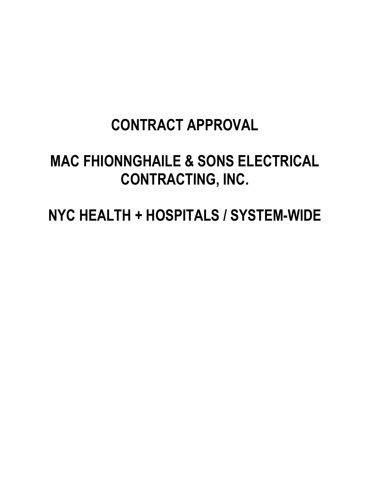# **CONTRACT APPROVAL**

# **MAC FHIONNGHAILE & SONS ELECTRICAL CONTRACTING, INC.**

**NYC HEALTH + HOSPITALS / SYSTEM-WIDE**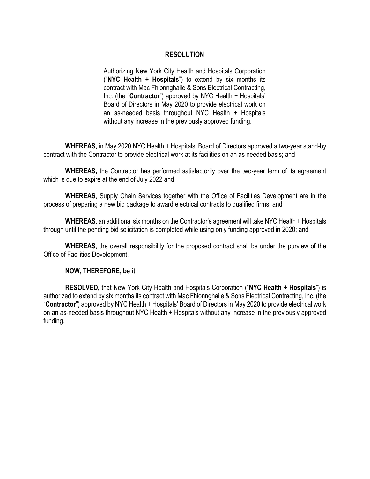#### **RESOLUTION**

Authorizing New York City Health and Hospitals Corporation ("**NYC Health + Hospitals**") to extend by six months its contract with Mac Fhionnghaile & Sons Electrical Contracting, Inc. (the "**Contractor**") approved by NYC Health + Hospitals' Board of Directors in May 2020 to provide electrical work on an as-needed basis throughout NYC Health + Hospitals without any increase in the previously approved funding.

**WHEREAS,** in May 2020 NYC Health + Hospitals' Board of Directors approved a two-year stand-by contract with the Contractor to provide electrical work at its facilities on an as needed basis; and

**WHEREAS,** the Contractor has performed satisfactorily over the two-year term of its agreement which is due to expire at the end of July 2022 and

**WHEREAS**, Supply Chain Services together with the Office of Facilities Development are in the process of preparing a new bid package to award electrical contracts to qualified firms; and

**WHEREAS**, an additional six months on the Contractor's agreement will take NYC Health + Hospitals through until the pending bid solicitation is completed while using only funding approved in 2020; and

**WHEREAS**, the overall responsibility for the proposed contract shall be under the purview of the Office of Facilities Development.

#### **NOW, THEREFORE, be it**

**RESOLVED,** that New York City Health and Hospitals Corporation ("**NYC Health + Hospitals**") is authorized to extend by six months its contract with Mac Fhionnghaile & Sons Electrical Contracting, Inc. (the "**Contractor**") approved by NYC Health + Hospitals' Board of Directors in May 2020 to provide electrical work on an as-needed basis throughout NYC Health + Hospitals without any increase in the previously approved funding.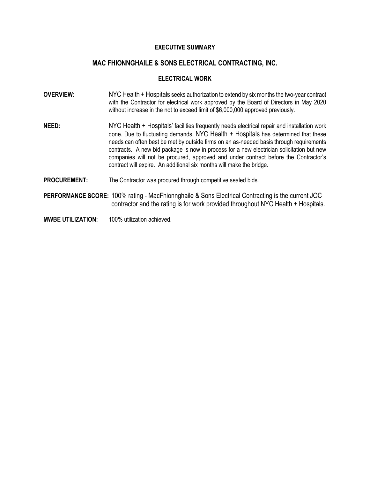#### **EXECUTIVE SUMMARY**

#### **MAC FHIONNGHAILE & SONS ELECTRICAL CONTRACTING, INC.**

#### **ELECTRICAL WORK**

- **OVERVIEW:** NYC Health + Hospitals seeks authorization to extend by six months the two-year contract with the Contractor for electrical work approved by the Board of Directors in May 2020 without increase in the not to exceed limit of \$6,000,000 approved previously.
- **NEED:** NYC Health + Hospitals' facilities frequently needs electrical repair and installation work done. Due to fluctuating demands, NYC Health + Hospitals has determined that these needs can often best be met by outside firms on an as-needed basis through requirements contracts. A new bid package is now in process for a new electrician solicitation but new companies will not be procured, approved and under contract before the Contractor's contract will expire. An additional six months will make the bridge.
- **PROCUREMENT:** The Contractor was procured through competitive sealed bids.
- **PERFORMANCE SCORE:** 100% rating MacFhionnghaile & Sons Electrical Contracting is the current JOC contractor and the rating is for work provided throughout NYC Health + Hospitals.
- **MWBE UTILIZATION:** 100% utilization achieved.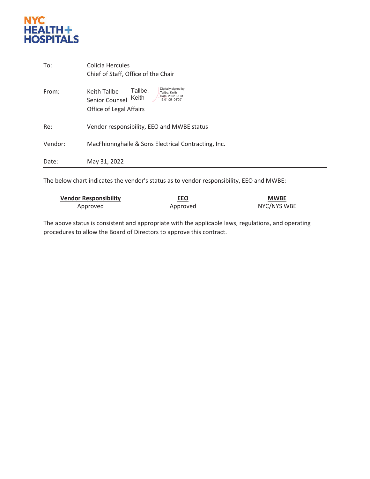

| To:     | Colicia Hercules<br>Chief of Staff, Office of the Chair                                                                                                              |
|---------|----------------------------------------------------------------------------------------------------------------------------------------------------------------------|
| From:   | Digitally signed by<br>Tallbe,<br><b>Keith Tallbe</b><br>Tallbe, Keith<br>Date: 2022.05.31<br>Keith<br>Senior Counsel<br>13:01:05 -04'00'<br>Office of Legal Affairs |
| Re:     | Vendor responsibility, EEO and MWBE status                                                                                                                           |
| Vendor: | MacFhionnghaile & Sons Electrical Contracting, Inc.                                                                                                                  |
| Date:   | May 31, 2022                                                                                                                                                         |

The below chart indicates the vendor's status as to vendor responsibility, EEO and MWBE:

| <b>Vendor Responsibility</b> | <b>EEO</b> | <b>MWBE</b> |
|------------------------------|------------|-------------|
| Approved                     | Approved   | NYC/NYS WBE |

The above status is consistent and appropriate with the applicable laws, regulations, and operating procedures to allow the Board of Directors to approve this contract.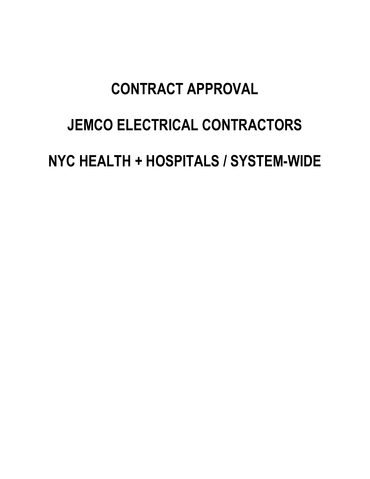# **CONTRACT APPROVAL**

# **JEMCO ELECTRICAL CONTRACTORS NYC HEALTH + HOSPITALS / SYSTEM-WIDE**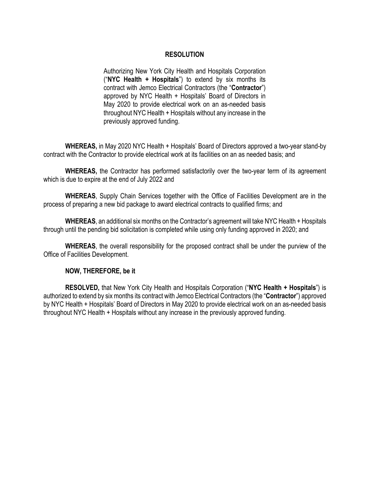#### **RESOLUTION**

Authorizing New York City Health and Hospitals Corporation ("**NYC Health + Hospitals**") to extend by six months its contract with Jemco Electrical Contractors (the "**Contractor**") approved by NYC Health + Hospitals' Board of Directors in May 2020 to provide electrical work on an as-needed basis throughout NYC Health + Hospitals without any increase in the previously approved funding.

**WHEREAS,** in May 2020 NYC Health + Hospitals' Board of Directors approved a two-year stand-by contract with the Contractor to provide electrical work at its facilities on an as needed basis; and

**WHEREAS,** the Contractor has performed satisfactorily over the two-year term of its agreement which is due to expire at the end of July 2022 and

**WHEREAS**, Supply Chain Services together with the Office of Facilities Development are in the process of preparing a new bid package to award electrical contracts to qualified firms; and

**WHEREAS**, an additional six months on the Contractor's agreement will take NYC Health + Hospitals through until the pending bid solicitation is completed while using only funding approved in 2020; and

**WHEREAS**, the overall responsibility for the proposed contract shall be under the purview of the Office of Facilities Development.

#### **NOW, THEREFORE, be it**

**RESOLVED,** that New York City Health and Hospitals Corporation ("**NYC Health + Hospitals**") is authorized to extend by six months its contract with Jemco Electrical Contractors (the "**Contractor**") approved by NYC Health + Hospitals' Board of Directors in May 2020 to provide electrical work on an as-needed basis throughout NYC Health + Hospitals without any increase in the previously approved funding.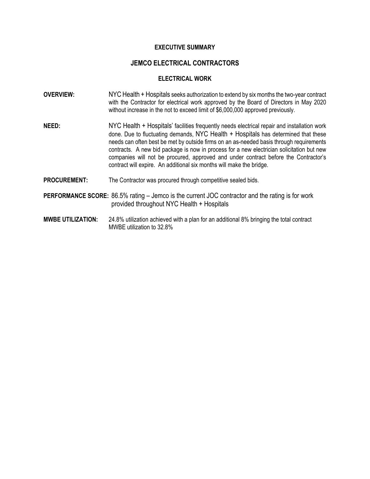#### **EXECUTIVE SUMMARY**

#### **JEMCO ELECTRICAL CONTRACTORS**

#### **ELECTRICAL WORK**

- **OVERVIEW:** NYC Health + Hospitals seeks authorization to extend by six months the two-year contract with the Contractor for electrical work approved by the Board of Directors in May 2020 without increase in the not to exceed limit of \$6,000,000 approved previously.
- **NEED:** NYC Health + Hospitals' facilities frequently needs electrical repair and installation work done. Due to fluctuating demands, NYC Health + Hospitals has determined that these needs can often best be met by outside firms on an as-needed basis through requirements contracts. A new bid package is now in process for a new electrician solicitation but new companies will not be procured, approved and under contract before the Contractor's contract will expire. An additional six months will make the bridge.
- **PROCUREMENT:** The Contractor was procured through competitive sealed bids.
- **PERFORMANCE SCORE:** 86.5% rating Jemco is the current JOC contractor and the rating is for work provided throughout NYC Health + Hospitals
- **MWBE UTILIZATION:** 24.8% utilization achieved with a plan for an additional 8% bringing the total contract MWBE utilization to 32.8%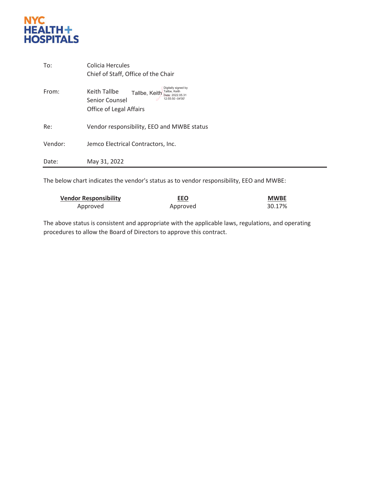

| Date:   | May 31, 2022                                                                                                                                               |
|---------|------------------------------------------------------------------------------------------------------------------------------------------------------------|
| Vendor: | Jemco Electrical Contractors, Inc.                                                                                                                         |
| Re:     | Vendor responsibility, EEO and MWBE status                                                                                                                 |
| From:   | Digitally signed by<br>Keith Tallbe<br>Tallbe, Keith<br>Tallbe, Keith<br>Date: 2022.05.31<br>12:55:50 -04'00'<br>Senior Counsel<br>Office of Legal Affairs |
| To:     | Colicia Hercules<br>Chief of Staff, Office of the Chair                                                                                                    |
|         |                                                                                                                                                            |

The below chart indicates the vendor's status as to vendor responsibility, EEO and MWBE:

| <b>Vendor Responsibility</b> | <b>EEO</b> | <b>MWBE</b> |
|------------------------------|------------|-------------|
| Approved                     | Approved   | 30.17%      |

The above status is consistent and appropriate with the applicable laws, regulations, and operating procedures to allow the Board of Directors to approve this contract.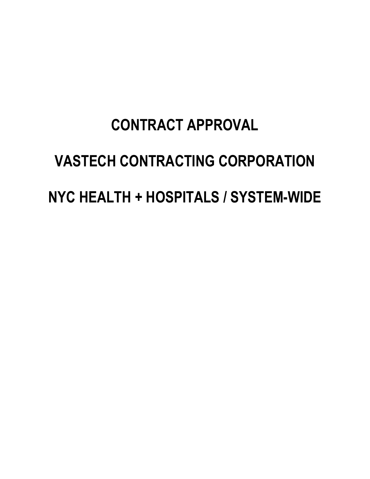# **CONTRACT APPROVAL VASTECH CONTRACTING CORPORATION NYC HEALTH + HOSPITALS / SYSTEM-WIDE**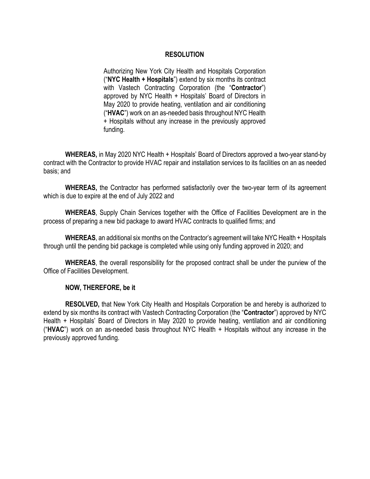#### **RESOLUTION**

Authorizing New York City Health and Hospitals Corporation ("**NYC Health + Hospitals**") extend by six months its contract with Vastech Contracting Corporation (the "**Contractor**") approved by NYC Health + Hospitals' Board of Directors in May 2020 to provide heating, ventilation and air conditioning ("**HVAC**") work on an as-needed basis throughout NYC Health + Hospitals without any increase in the previously approved funding.

**WHEREAS,** in May 2020 NYC Health + Hospitals' Board of Directors approved a two-year stand-by contract with the Contractor to provide HVAC repair and installation services to its facilities on an as needed basis; and

**WHEREAS,** the Contractor has performed satisfactorily over the two-year term of its agreement which is due to expire at the end of July 2022 and

**WHEREAS**, Supply Chain Services together with the Office of Facilities Development are in the process of preparing a new bid package to award HVAC contracts to qualified firms; and

**WHEREAS**, an additional six months on the Contractor's agreement will take NYC Health + Hospitals through until the pending bid package is completed while using only funding approved in 2020; and

**WHEREAS**, the overall responsibility for the proposed contract shall be under the purview of the Office of Facilities Development.

#### **NOW, THEREFORE, be it**

**RESOLVED,** that New York City Health and Hospitals Corporation be and hereby is authorized to extend by six months its contract with Vastech Contracting Corporation (the "**Contractor**") approved by NYC Health + Hospitals' Board of Directors in May 2020 to provide heating, ventilation and air conditioning ("**HVAC**") work on an as-needed basis throughout NYC Health + Hospitals without any increase in the previously approved funding.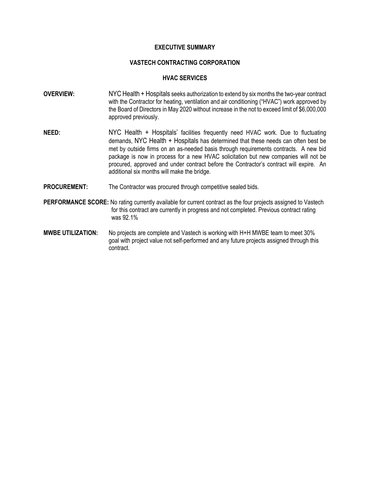#### **EXECUTIVE SUMMARY**

#### **VASTECH CONTRACTING CORPORATION**

#### **HVAC SERVICES**

- **OVERVIEW:** NYC Health + Hospitals seeks authorization to extend by six months the two-year contract with the Contractor for heating, ventilation and air conditioning ("HVAC") work approved by the Board of Directors in May 2020 without increase in the not to exceed limit of \$6,000,000 approved previously.
- **NEED:** NYC Health + Hospitals' facilities frequently need HVAC work. Due to fluctuating demands, NYC Health + Hospitals has determined that these needs can often best be met by outside firms on an as-needed basis through requirements contracts. A new bid package is now in process for a new HVAC solicitation but new companies will not be procured, approved and under contract before the Contractor's contract will expire. An additional six months will make the bridge.
- **PROCUREMENT:** The Contractor was procured through competitive sealed bids.
- **PERFORMANCE SCORE:** No rating currently available for current contract as the four projects assigned to Vastech for this contract are currently in progress and not completed. Previous contract rating was 92.1%
- **MWBE UTILIZATION:** No projects are complete and Vastech is working with H+H MWBE team to meet 30% goal with project value not self-performed and any future projects assigned through this contract.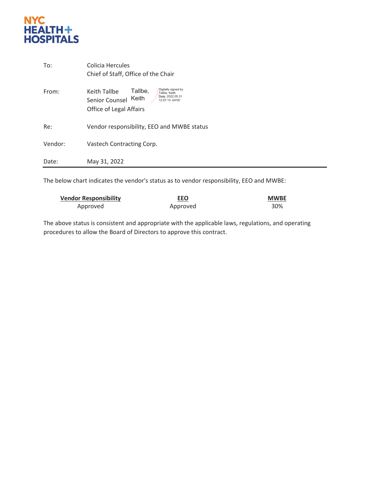

| To:     | Colicia Hercules<br>Chief of Staff, Office of the Chair                                                                                                              |
|---------|----------------------------------------------------------------------------------------------------------------------------------------------------------------------|
| From:   | Digitally signed by<br>Tallbe,<br>Keith Tallbe<br>Tallbe, Keith<br>Date: 2022.05.31<br>Keith<br>Senior Counsel<br>12:57:13 -04'00'<br><b>Office of Legal Affairs</b> |
| Re:     | Vendor responsibility, EEO and MWBE status                                                                                                                           |
| Vendor: | Vastech Contracting Corp.                                                                                                                                            |
| Date:   | May 31, 2022                                                                                                                                                         |

The below chart indicates the vendor's status as to vendor responsibility, EEO and MWBE:

| <b>Vendor Responsibility</b> | <b>EEO</b> | <b>MWBE</b> |
|------------------------------|------------|-------------|
| Approved                     | Approved   | 30%         |

The above status is consistent and appropriate with the applicable laws, regulations, and operating procedures to allow the Board of Directors to approve this contract.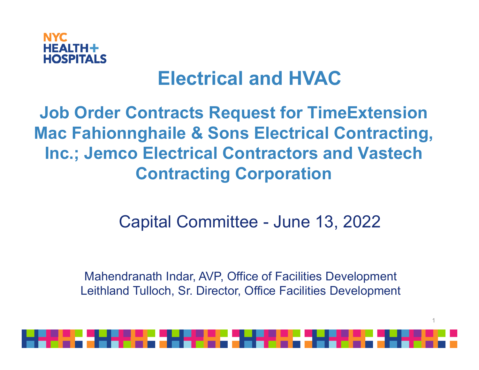# **NYC HOSPITALS**

# **Electrical and HVAC**

**Job Order Contracts Request for TimeExtension Mac Fahionnghaile & Sons Electrical Contracting, Inc.; Jemco Electrical Contractors and Vastech Contracting Corporation** 

# Capital Committee - June 13, 2022

Mahendranath Indar, AVP, Office of Facilities Development Leithland Tulloch, Sr. Director, Office Facilities Development

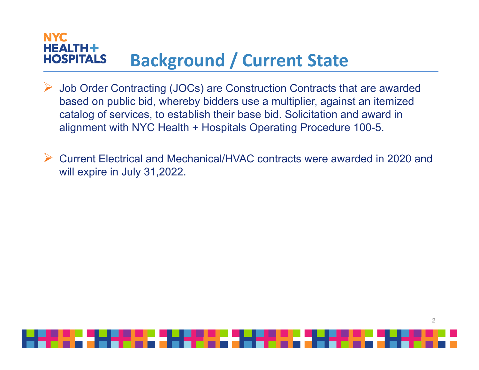## **NYC** НЕАІТН+ **Background / Current State** HOSPITALS

- Job Order Contracting (JOCs) are Construction Contracts that are awarded based on public bid, whereby bidders use a multiplier, against an itemized catalog of services, to establish their base bid. Solicitation and award in alignment with NYC Health + Hospitals Operating Procedure 100-5.
- Current Electrical and Mechanical/HVAC contracts were awarded in 2020 and will expire in July 31,2022.

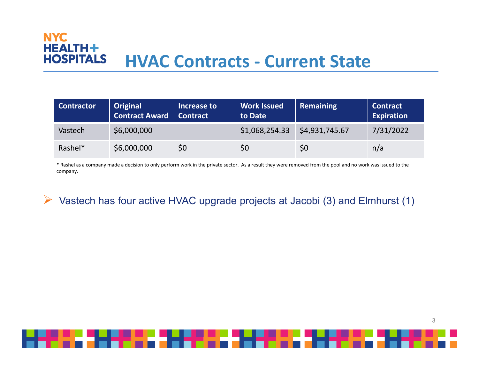## **NYC HEALTH+ HOSPITALS HVAC Contracts ‐ Current State**

| <b>Contractor</b> | <b>Original</b><br>Contract Award   Contract | Increase to | Work Issued<br>to Date | Remaining      | <b>Contract</b><br>Expiration |
|-------------------|----------------------------------------------|-------------|------------------------|----------------|-------------------------------|
| Vastech           | \$6,000,000                                  |             | \$1,068,254.33         | \$4,931,745.67 | 7/31/2022                     |
| Rashel*           | \$6,000,000                                  | \$0         | \$0                    | \$0            | n/a                           |

\* Rashel as <sup>a</sup> company made <sup>a</sup> decision to only perform work in the private sector. As <sup>a</sup> result they were removed from the pool and no work was issued to the company.

 $\triangleright$  Vastech has four active HVAC upgrade projects at Jacobi (3) and Elmhurst (1)

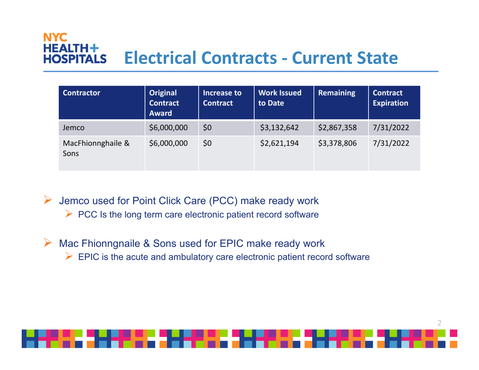### **NYC HEALTH+ Electrical Contracts ‐ Current StateHOSPITALS**

| <b>Contractor</b>         | Original<br><b>Contract</b><br><b>Award</b> | Increase to<br><b>Contract</b> | <b>Work Issued</b><br>to Date | <b>Remaining</b> | <b>Contract</b><br><b>Expiration</b> |
|---------------------------|---------------------------------------------|--------------------------------|-------------------------------|------------------|--------------------------------------|
| Jemco                     | \$6,000,000                                 | \$0                            | \$3,132,642                   | \$2,867,358      | 7/31/2022                            |
| MacFhionnghaile &<br>Sons | \$6,000,000                                 | \$0                            | \$2,621,194                   | \$3,378,806      | 7/31/2022                            |

Jemco used for Point Click Care (PCC) make ready work

 $\triangleright$  PCC Is the long term care electronic patient record software

▶ Mac Fhionngnaile & Sons used for EPIC make ready work

 $\triangleright$  EPIC is the acute and ambulatory care electronic patient record software

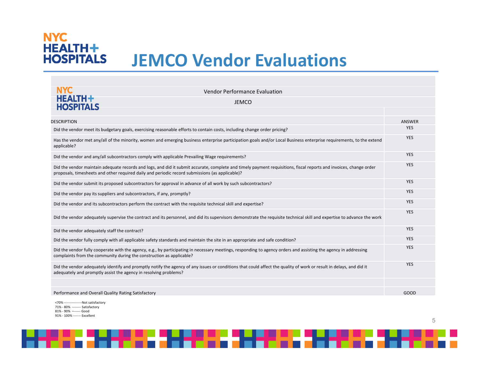## **NYC HEALTH+ HOSPITALS JEMCO Vendor Evaluations**

| <b>Vendor Performance Evaluation</b>                                                                                                                                                                                                                                  |               |
|-----------------------------------------------------------------------------------------------------------------------------------------------------------------------------------------------------------------------------------------------------------------------|---------------|
| <b>HEALTH+</b><br><b>JEMCO</b><br><b>HOSPITALS</b>                                                                                                                                                                                                                    |               |
|                                                                                                                                                                                                                                                                       |               |
| <b>DESCRIPTION</b>                                                                                                                                                                                                                                                    | <b>ANSWER</b> |
| Did the vendor meet its budgetary goals, exercising reasonable efforts to contain costs, including change order pricing?                                                                                                                                              | <b>YES</b>    |
| Has the vendor met any/all of the minority, women and emerging business enterprise participation goals and/or Local Business enterprise requirements, to the extend<br>applicable?                                                                                    | <b>YES</b>    |
| Did the vendor and any/all subcontractors comply with applicable Prevailing Wage requirements?                                                                                                                                                                        | <b>YES</b>    |
| Did the vendor maintain adequate records and logs, and did it submit accurate, complete and timely payment requisitions, fiscal reports and invoices, change order<br>proposals, timesheets and other required daily and periodic record submissions (as applicable)? | <b>YES</b>    |
| Did the vendor submit its proposed subcontractors for approval in advance of all work by such subcontractors?                                                                                                                                                         | <b>YES</b>    |
| Did the vendor pay its suppliers and subcontractors, if any, promptly?                                                                                                                                                                                                | <b>YES</b>    |
| Did the vendor and its subcontractors perform the contract with the requisite technical skill and expertise?                                                                                                                                                          | <b>YES</b>    |
| Did the vendor adequately supervise the contract and its personnel, and did its supervisors demonstrate the requisite technical skill and expertise to advance the work                                                                                               | <b>YES</b>    |
| Did the vendor adequately staff the contract?                                                                                                                                                                                                                         | <b>YES</b>    |
| Did the vendor fully comply with all applicable safety standards and maintain the site in an appropriate and safe condition?                                                                                                                                          | <b>YES</b>    |
| Did the vendor fully cooperate with the agency, e.g., by participating in necessary meetings, responding to agency orders and assisting the agency in addressing<br>complaints from the community during the construction as applicable?                              | <b>YES</b>    |
| Did the vendor adequately identify and promptly notify the agency of any issues or conditions that could affect the quality of work or result in delays, and did it<br>adequately and promptly assist the agency in resolving problems?                               | <b>YES</b>    |
|                                                                                                                                                                                                                                                                       |               |
| Performance and Overall Quality Rating Satisfactory                                                                                                                                                                                                                   | GOOD          |

<70% ‐‐‐‐‐‐‐‐‐‐‐‐‐‐‐‐Not satisfactory 71% ‐ 80% ‐‐‐‐‐‐‐‐ Satisfactory 81% ‐ 90% –‐‐‐‐‐‐ Good 91% ‐ 100% ‐‐‐‐‐‐‐ Excellent

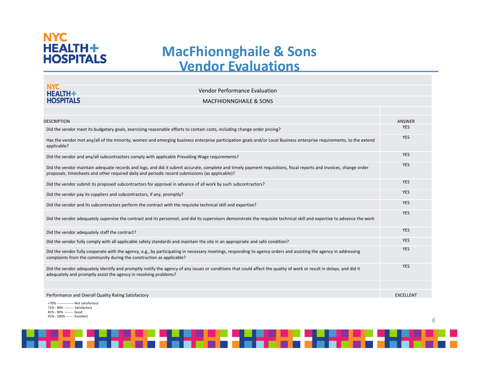## **NYC HEALTH+ HOSPITALS**

# **MacFhionnghaile & Sons Vendor Evaluations**

| <b>NYC</b><br><b>HEALTH+</b>                                           | <b>Vendor Performance Evaluation</b>                                                                                                                                                                                                                                  |                  |
|------------------------------------------------------------------------|-----------------------------------------------------------------------------------------------------------------------------------------------------------------------------------------------------------------------------------------------------------------------|------------------|
| <b>HOSPITALS</b>                                                       | <b>MACFHIONNGHAILE &amp; SONS</b>                                                                                                                                                                                                                                     |                  |
|                                                                        |                                                                                                                                                                                                                                                                       |                  |
| <b>DESCRIPTION</b>                                                     |                                                                                                                                                                                                                                                                       | <b>ANSWER</b>    |
|                                                                        | Did the vendor meet its budgetary goals, exercising reasonable efforts to contain costs, including change order pricing?                                                                                                                                              | <b>YES</b>       |
| applicable?                                                            | Has the vendor met any/all of the minority, women and emerging business enterprise participation goals and/or Local Business enterprise requirements, to the extend                                                                                                   | <b>YES</b>       |
|                                                                        | Did the vendor and any/all subcontractors comply with applicable Prevailing Wage requirements?                                                                                                                                                                        | <b>YES</b>       |
|                                                                        | Did the vendor maintain adequate records and logs, and did it submit accurate, complete and timely payment requisitions, fiscal reports and invoices, change order<br>proposals, timesheets and other required daily and periodic record submissions (as applicable)? | <b>YES</b>       |
|                                                                        | Did the vendor submit its proposed subcontractors for approval in advance of all work by such subcontractors?                                                                                                                                                         | <b>YES</b>       |
| Did the vendor pay its suppliers and subcontractors, if any, promptly? |                                                                                                                                                                                                                                                                       | <b>YES</b>       |
|                                                                        | Did the vendor and its subcontractors perform the contract with the requisite technical skill and expertise?                                                                                                                                                          | <b>YES</b>       |
|                                                                        | Did the vendor adequately supervise the contract and its personnel, and did its supervisors demonstrate the requisite technical skill and expertise to advance the work                                                                                               | <b>YES</b>       |
| Did the vendor adequately staff the contract?                          |                                                                                                                                                                                                                                                                       | <b>YES</b>       |
|                                                                        | Did the vendor fully comply with all applicable safety standards and maintain the site in an appropriate and safe condition?                                                                                                                                          | <b>YES</b>       |
| complaints from the community during the construction as applicable?   | Did the vendor fully cooperate with the agency, e.g., by participating in necessary meetings, responding to agency orders and assisting the agency in addressing                                                                                                      | <b>YES</b>       |
| adequately and promptly assist the agency in resolving problems?       | Did the vendor adequately identify and promptly notify the agency of any issues or conditions that could affect the quality of work or result in delays, and did it                                                                                                   | <b>YES</b>       |
|                                                                        |                                                                                                                                                                                                                                                                       |                  |
| Performance and Overall Quality Rating Satisfactory                    |                                                                                                                                                                                                                                                                       | <b>EXCELLENT</b> |

<70% ‐‐‐‐‐‐‐‐‐‐‐‐‐‐‐‐Not satisfactory 71% ‐ 80% ‐‐‐‐‐‐‐‐ Satisfactory 81% ‐ 90% –‐‐‐‐‐‐ Good 91% ‐ 100% ‐‐‐‐‐‐‐ Excellent

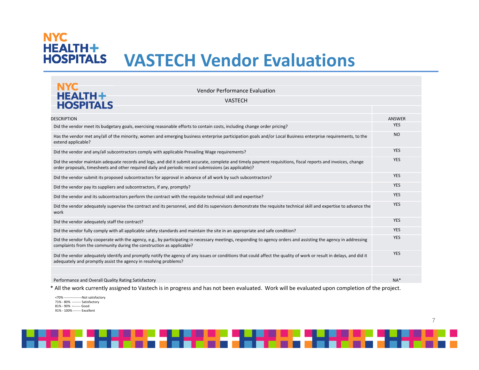## **NYC HEALTH+ HOSPITALS VASTECH Vendor Evaluations**

| <b>NYC</b>                                                                                                                                                                                                                                                            |               |
|-----------------------------------------------------------------------------------------------------------------------------------------------------------------------------------------------------------------------------------------------------------------------|---------------|
| <b>Vendor Performance Evaluation</b><br><b>HEALTH+</b>                                                                                                                                                                                                                |               |
| <b>VASTECH</b><br><b>HOSPITALS</b>                                                                                                                                                                                                                                    |               |
|                                                                                                                                                                                                                                                                       |               |
| <b>DESCRIPTION</b>                                                                                                                                                                                                                                                    | <b>ANSWER</b> |
| Did the vendor meet its budgetary goals, exercising reasonable efforts to contain costs, including change order pricing?                                                                                                                                              | <b>YES</b>    |
| Has the vendor met any/all of the minority, women and emerging business enterprise participation goals and/or Local Business enterprise requirements, to the<br>extend applicable?                                                                                    | <b>NO</b>     |
| Did the vendor and any/all subcontractors comply with applicable Prevailing Wage requirements?                                                                                                                                                                        | <b>YES</b>    |
| Did the vendor maintain adequate records and logs, and did it submit accurate, complete and timely payment requisitions, fiscal reports and invoices, change<br>order proposals, timesheets and other required daily and periodic record submissions (as applicable)? | <b>YES</b>    |
| Did the vendor submit its proposed subcontractors for approval in advance of all work by such subcontractors?                                                                                                                                                         | <b>YES</b>    |
| Did the vendor pay its suppliers and subcontractors, if any, promptly?                                                                                                                                                                                                | <b>YES</b>    |
| Did the vendor and its subcontractors perform the contract with the requisite technical skill and expertise?                                                                                                                                                          | <b>YES</b>    |
| Did the vendor adequately supervise the contract and its personnel, and did its supervisors demonstrate the requisite technical skill and expertise to advance the<br>work                                                                                            | <b>YES</b>    |
| Did the vendor adequately staff the contract?                                                                                                                                                                                                                         | <b>YES</b>    |
| Did the vendor fully comply with all applicable safety standards and maintain the site in an appropriate and safe condition?                                                                                                                                          | <b>YES</b>    |
| Did the vendor fully cooperate with the agency, e.g., by participating in necessary meetings, responding to agency orders and assisting the agency in addressing<br>complaints from the community during the construction as applicable?                              | <b>YES</b>    |
| Did the vendor adequately identify and promptly notify the agency of any issues or conditions that could affect the quality of work or result in delays, and did it<br>adequately and promptly assist the agency in resolving problems?                               | <b>YES</b>    |
|                                                                                                                                                                                                                                                                       |               |
| Performance and Overall Quality Rating Satisfactory                                                                                                                                                                                                                   | $NA*$         |

\* All the work currently assigned to Vastech is in progress and has not been evaluated. Work will be evaluated upon completion of the project.

<70% ‐‐‐‐‐‐‐‐‐‐‐‐‐‐‐‐Not satisfactory 71% ‐ 80% ‐‐‐‐‐‐‐‐ Satisfactory 81% ‐ 90% –‐‐‐‐‐‐ Good 91% ‐ 100% ‐‐‐‐‐‐‐ Excellent

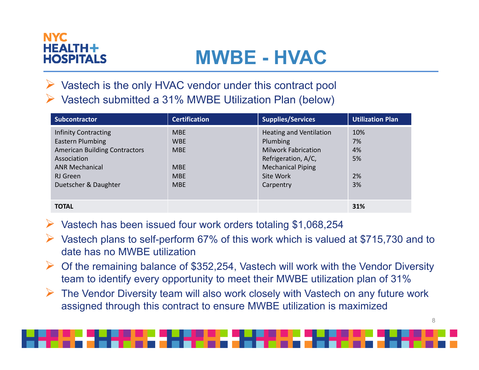# **NYC** НЕАІТН+ HOSPITALS

# **MWBE - HVAC**

 $\triangleright$  Vastech is the only HVAC vendor under this contract pool Vastech submitted a 31% MWBE Utilization Plan (below)

| <b>Subcontractor</b>                 | <b>Certification</b> | <b>Supplies/Services</b>       | <b>Utilization Plan</b> |
|--------------------------------------|----------------------|--------------------------------|-------------------------|
| Infinity Contracting                 | <b>MBE</b>           | <b>Heating and Ventilation</b> | 10%                     |
| <b>Eastern Plumbing</b>              | <b>WBE</b>           | Plumbing                       | 7%                      |
| <b>American Building Contractors</b> | <b>MBE</b>           | <b>Milwork Fabrication</b>     | 4%                      |
| Association                          |                      | Refrigeration, A/C,            | 5%                      |
| <b>ANR Mechanical</b>                | <b>MBE</b>           | <b>Mechanical Piping</b>       |                         |
| RJ Green                             | <b>MBE</b>           | Site Work                      | 2%                      |
| Duetscher & Daughter                 | <b>MBE</b>           | Carpentry                      | 3%                      |
|                                      |                      |                                |                         |
| <b>TOTAL</b>                         |                      |                                | 31%                     |

- $\triangleright$  Vastech has been issued four work orders totaling \$1,068,254
- $\triangleright$  Vastech plans to self-perform 67% of this work which is valued at \$715,730 and to date has no MWBE utilization
- $\triangleright$  Of the remaining balance of \$352,254, Vastech will work with the Vendor Diversity team to identify every opportunity to meet their MWBE utilization plan of 31%
- $\triangleright$  The Vendor Diversity team will also work closely with Vastech on any future work assigned through this contract to ensure MWBE utilization is maximized

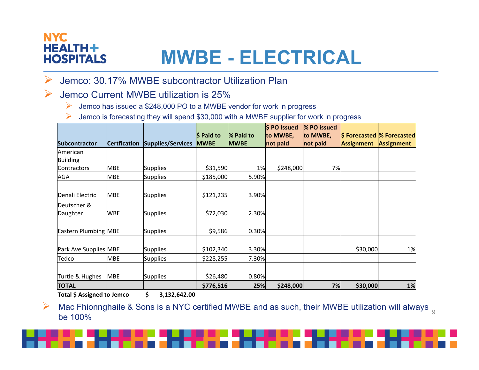# **NYC**  $HEALTH+$ **HOSPITALS**

# **MWBE - ELECTRICAL**

Jemco: 30.17% MWBE subcontractor Utilization Plan

## $\triangleright$  Jemco Current MWBE utilization is 25%

- Jemco has issued a \$248,000 PO to a MWBE vendor for work in progress
- $\blacktriangleright$ Jemco is forecasting they will spend \$30,000 with a MWBE supplier for work in progress

|                             |            |                                |             |             | \$ PO Issued | % PO issued |                   |                                                            |
|-----------------------------|------------|--------------------------------|-------------|-------------|--------------|-------------|-------------------|------------------------------------------------------------|
|                             |            |                                | $$$ Paid to | % Paid to   | to MWBE,     | to MWBE,    |                   | $\left \right.$ \$ Forecasted $\left \right.$ % Forecasted |
| <b>Subcontractor</b>        |            | Certfication Supplies/Services | <b>MWBE</b> | <b>MWBE</b> | not paid     | not paid    | <b>Assignment</b> | Assignment                                                 |
| American                    |            |                                |             |             |              |             |                   |                                                            |
| Building                    |            |                                |             |             |              |             |                   |                                                            |
| Contractors                 | MBE        | <b>Supplies</b>                | \$31,590    | 1%          | \$248,000    | 7%          |                   |                                                            |
| <b>AGA</b>                  | <b>MBE</b> | <b>Supplies</b>                | \$185,000   | 5.90%       |              |             |                   |                                                            |
| Denali Electric             | MBE        | <b>Supplies</b>                | \$121,235   | 3.90%       |              |             |                   |                                                            |
| Deutscher &                 |            |                                |             |             |              |             |                   |                                                            |
| Daughter                    | WBE        | <b>Supplies</b>                | \$72,030    | 2.30%       |              |             |                   |                                                            |
| <b>Eastern Plumbing MBE</b> |            | <b>Supplies</b>                | \$9,586     | 0.30%       |              |             |                   |                                                            |
| Park Ave Supplies MBE       |            | <b>Supplies</b>                | \$102,340   | 3.30%       |              |             | \$30,000          | 1%                                                         |
| Tedco                       | MBE        | <b>Supplies</b>                | \$228,255   | 7.30%       |              |             |                   |                                                            |
| Turtle & Hughes             | <b>MBE</b> | Supplies                       | \$26,480    | 0.80%       |              |             |                   |                                                            |
| <b>TOTAL</b>                |            |                                | \$776,516   | 25%         | \$248,000    | 7%          | \$30,000          | 1%                                                         |

**Total \$ Assigned to Jemco \$ 3,132,642.00**

 $\blacktriangleright$  Mac Fhionnghaile & Sons is a NYC certified MWBE and as such, their MWBE utilization will always  $_{\tiny \odot}$  $\blacktriangleright$ be 100%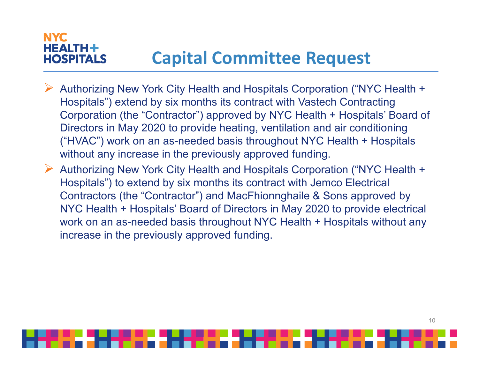### **NYC**  $H$  $F$  $A$  $T$  $H$  $+$ **Capital Committee Request HOSPITALS**

- Authorizing New York City Health and Hospitals Corporation ("NYC Health + Hospitals") extend by six months its contract with Vastech Contracting Corporation (the "Contractor") approved by NYC Health + Hospitals' Board of Directors in May 2020 to provide heating, ventilation and air conditioning ("HVAC") work on an as-needed basis throughout NYC Health + Hospitals without any increase in the previously approved funding.
- Authorizing New York City Health and Hospitals Corporation ("NYC Health + Hospitals") to extend by six months its contract with Jemco Electrical Contractors (the "Contractor") and MacFhionnghaile & Sons approved by NYC Health + Hospitals' Board of Directors in May 2020 to provide electrical work on an as-needed basis throughout NYC Health + Hospitals without any increase in the previously approved funding.

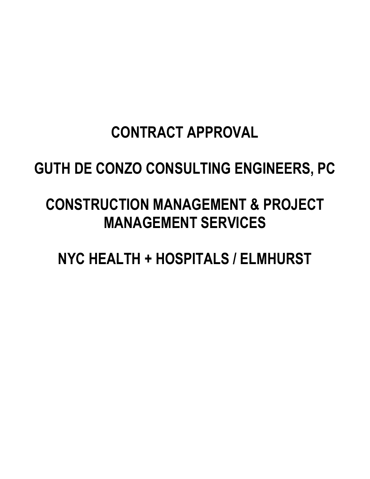# **CONTRACT APPROVAL**

# **GUTH DE CONZO CONSULTING ENGINEERS, PC**

# **CONSTRUCTION MANAGEMENT & PROJECT MANAGEMENT SERVICES**

**NYC HEALTH + HOSPITALS / ELMHURST**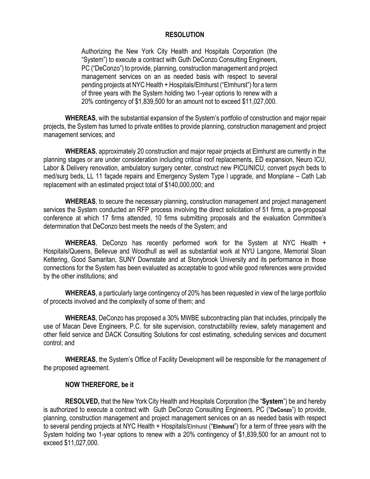#### **RESOLUTION**

Authorizing the New York City Health and Hospitals Corporation (the "System") to execute a contract with Guth DeConzo Consulting Engineers, PC ("DeConzo") to provide, planning, construction management and project management services on an as needed basis with respect to several pending projects at NYC Health + Hospitals/Elmhurst ("Elmhurst") for a term of three years with the System holding two 1-year options to renew with a 20% contingency of \$1,839,500 for an amount not to exceed \$11,027,000.

**WHEREAS**, with the substantial expansion of the System's portfolio of construction and major repair projects, the System has turned to private entities to provide planning, construction management and project management services; and

**WHEREAS**, approximately 20 construction and major repair projects at Elmhurst are currently in the planning stages or are under consideration including critical roof replacements, ED expansion, Neuro ICU, Labor & Delivery renovation, ambulatory surgery center, construct new PICU/NICU, convert psych beds to med/surg beds, LL 11 façade repairs and Emergency System Type I upgrade, and Monplane – Cath Lab replacement with an estimated project total of \$140,000,000; and

**WHEREAS**, to secure the necessary planning, construction management and project management services the System conducted an RFP process involving the direct solicitation of 51 firms, a pre-proposal conference at which 17 firms attended, 10 firms submitting proposals and the evaluation Committee's determination that DeConzo best meets the needs of the System; and

**WHEREAS**, DeConzo has recently performed work for the System at NYC Health + Hospitals/Queens, Bellevue and Woodhull as well as substantial work at NYU Langone, Memorial Sloan Kettering, Good Samaritan, SUNY Downstate and at Stonybrook University and its performance in those connections for the System has been evaluated as acceptable to good while good references were provided by the other institutions; and

**WHEREAS**, a particularly large contingency of 20% has been requested in view of the large portfolio of procects involved and the complexity of some of them; and

**WHEREAS**, DeConzo has proposed a 30% MWBE subcontracting plan that includes, principally the use of Macan Deve Engineers, P.C. for site supervision, constructability review, safety management and other field service and DACK Consulting Solutions for cost estimating, scheduling services and document control; and

**WHEREAS**, the System's Office of Facility Development will be responsible for the management of the proposed agreement.

#### **NOW THEREFORE, be it**

**RESOLVED,** that the New York City Health and Hospitals Corporation (the "**System**") be and hereby is authorized to execute a contract with Guth DeConzo Consulting Engineers, PC ("**DeConzo**") to provide, planning, construction management and project management services on an as needed basis with respect to several pending projects at NYC Health + Hospitals/Elmhurst ("**Elmhurst**") for a term of three years with the System holding two 1-year options to renew with a 20% contingency of \$1,839,500 for an amount not to exceed \$11,027,000.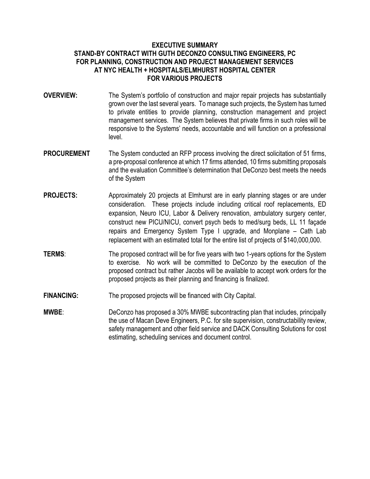#### **EXECUTIVE SUMMARY STAND-BY CONTRACT WITH GUTH DECONZO CONSULTING ENGINEERS, PC FOR PLANNING, CONSTRUCTION AND PROJECT MANAGEMENT SERVICES AT NYC HEALTH + HOSPITALS/ELMHURST HOSPITAL CENTER FOR VARIOUS PROJECTS**

- **OVERVIEW:** The System's portfolio of construction and major repair projects has substantially grown over the last several years. To manage such projects, the System has turned to private entities to provide planning, construction management and project management services. The System believes that private firms in such roles will be responsive to the Systems' needs, accountable and will function on a professional level.
- **PROCUREMENT** The System conducted an RFP process involving the direct solicitation of 51 firms, a pre-proposal conference at which 17 firms attended, 10 firms submitting proposals and the evaluation Committee's determination that DeConzo best meets the needs of the System
- **PROJECTS:** Approximately 20 projects at Elmhurst are in early planning stages or are under consideration. These projects include including critical roof replacements, ED expansion, Neuro ICU, Labor & Delivery renovation, ambulatory surgery center, construct new PICU/NICU, convert psych beds to med/surg beds, LL 11 façade repairs and Emergency System Type I upgrade, and Monplane – Cath Lab replacement with an estimated total for the entire list of projects of \$140,000,000.
- **TERMS:** The proposed contract will be for five years with two 1-years options for the System to exercise. No work will be committed to DeConzo by the execution of the proposed contract but rather Jacobs will be available to accept work orders for the proposed projects as their planning and financing is finalized.
- **FINANCING:** The proposed projects will be financed with City Capital.
- **MWBE**: DeConzo has proposed a 30% MWBE subcontracting plan that includes, principally the use of Macan Deve Engineers, P.C. for site supervision, constructability review, safety management and other field service and DACK Consulting Solutions for cost estimating, scheduling services and document control.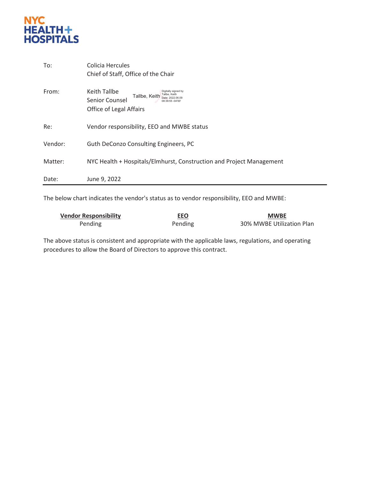

| To:     | Colicia Hercules<br>Chief of Staff, Office of the Chair                                                                                                                  |
|---------|--------------------------------------------------------------------------------------------------------------------------------------------------------------------------|
| From:   | <b>Keith Tallbe</b><br>Digitally signed by<br>Tallbe, Keith<br>Tallbe, Keith<br>Date: 2022.06.09<br>Senior Counsel<br>08:39:55 -04'00'<br><b>Office of Legal Affairs</b> |
| Re:     | Vendor responsibility, EEO and MWBE status                                                                                                                               |
| Vendor: | Guth DeConzo Consulting Engineers, PC                                                                                                                                    |
| Matter: | NYC Health + Hospitals/Elmhurst, Construction and Project Management                                                                                                     |
| Date:   | June 9, 2022                                                                                                                                                             |

The below chart indicates the vendor's status as to vendor responsibility, EEO and MWBE:

| <b>Vendor Responsibility</b> | <b>EEO</b> | <b>MWBE</b>               |
|------------------------------|------------|---------------------------|
| Pending                      | Pending    | 30% MWBE Utilization Plan |

The above status is consistent and appropriate with the applicable laws, regulations, and operating procedures to allow the Board of Directors to approve this contract.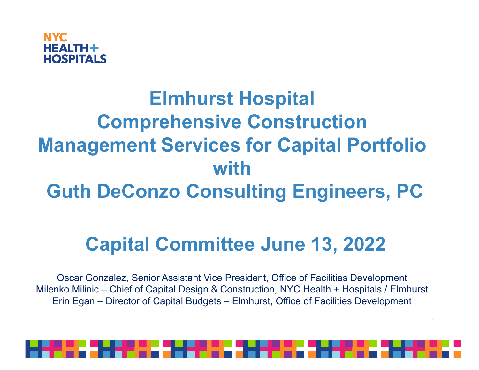## **NYC** НЕАІТН+ **HOSPITALS**

# **Elmhurst Hospital Comprehensive Construction Management Services for Capital Portfoliowith Guth DeConzo Consulting Engineers, PC**

# **Capital Committee June 13, 2022**

Oscar Gonzalez, Senior Assistant Vice President, Office of Facilities Development Milenko Milinic – Chief of Capital Design & Construction, NYC Health + Hospitals / Elmhurst Erin Egan – Director of Capital Budgets – Elmhurst, Office of Facilities Development

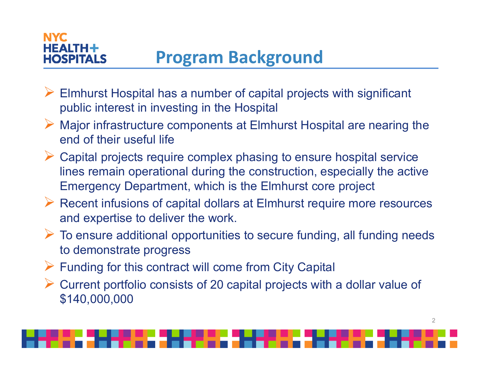### **NYC** НЕАІТН+ **Program Background HOSPITALS**

- Elmhurst Hospital has a number of capital projects with significant public interest in investing in the Hospital
- Major infrastructure components at Elmhurst Hospital are nearing the end of their useful life
- Capital projects require complex phasing to ensure hospital service lines remain operational during the construction, especially the active Emergency Department, which is the Elmhurst core project
- Recent infusions of capital dollars at Elmhurst require more resources and expertise to deliver the work.
- To ensure additional opportunities to secure funding, all funding needs to demonstrate progress
- $\triangleright$  Funding for this contract will come from City Capital
- Current portfolio consists of 20 capital projects with a dollar value of \$140,000,000

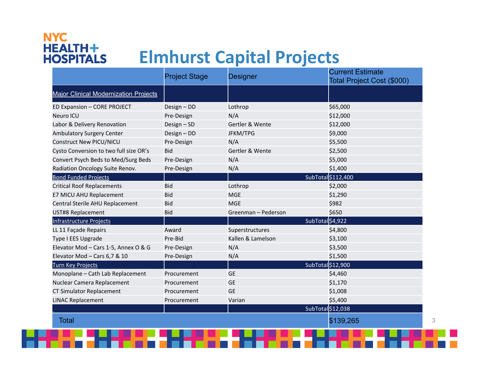## **NYC HEALTH+ Elmhurst Capital ProjectsHOSPITALS**

|                                              | <b>Project Stage</b> | <b>Designer</b>     | <b>Current Estimate</b><br>Total Project Cost (\$000) |
|----------------------------------------------|----------------------|---------------------|-------------------------------------------------------|
| <b>Major Clinical Modernization Projects</b> |                      |                     |                                                       |
| ED Expansion - CORE PROJECT                  | Design - DD          | Lothrop             | \$65,000                                              |
| Neuro ICU                                    | Pre-Design           | N/A                 | \$12,000                                              |
| Labor & Delivery Renovation                  | Design $-$ SD        | Gertler & Wente     | \$12,000                                              |
| Ambulatory Surgery Center                    | Design - DD          | JFKM/TPG            | \$9,000                                               |
| <b>Construct New PICU/NICU</b>               | Pre-Design           | N/A                 | \$5,500                                               |
| Cysto Conversion to two full size OR's       | <b>Bid</b>           | Gertler & Wente     | \$2,500                                               |
| Convert Psych Beds to Med/Surg Beds          | Pre-Design           | N/A                 | \$5,000                                               |
| Radiation Oncology Suite Renov.              | Pre-Design           | N/A                 | \$1,400                                               |
| <b>Bond Funded Projects</b>                  |                      |                     | SubTotal \$112,400                                    |
| <b>Critical Roof Replacements</b>            | <b>Bid</b>           | Lothrop             | \$2,000                                               |
| E7 MICU AHU Replacement                      | <b>Bid</b>           | <b>MGE</b>          | \$1,290                                               |
| Central Sterile AHU Replacement              | <b>Bid</b>           | <b>MGE</b>          | \$982                                                 |
| UST#8 Replacement                            | <b>Bid</b>           | Greenman - Pederson | \$650                                                 |
| Infrastructure Projects                      |                      | SubTotal \$4,922    |                                                       |
| LL 11 Façade Repairs                         | Award                | Superstructures     | \$4,800                                               |
| Type I EES Upgrade                           | Pre-Bid              | Kallen & Lamelson   | \$3,100                                               |
| Elevator Mod - Cars 1-5, Annex O & G         | Pre-Design           | N/A                 | \$3,500                                               |
| Elevator Mod - Cars 6,7 & 10                 | Pre-Design           | N/A                 | \$1,500                                               |
| Turn Key Projects                            |                      | SubTotal\$12,900    |                                                       |
| Monoplane - Cath Lab Replacement             | Procurement          | <b>GE</b>           | \$4,460                                               |
| Nuclear Camera Replacement                   | Procurement          | <b>GE</b>           | \$1,170                                               |
| <b>CT Simulator Replacement</b>              | Procurement          | <b>GE</b>           | \$1,008                                               |
| <b>LINAC Replacement</b>                     | Procurement          | Varian              | \$5,400                                               |
|                                              |                      | SubTotal\$12,038    |                                                       |
| <b>Total</b>                                 |                      |                     | \$139,265                                             |
|                                              |                      |                     |                                                       |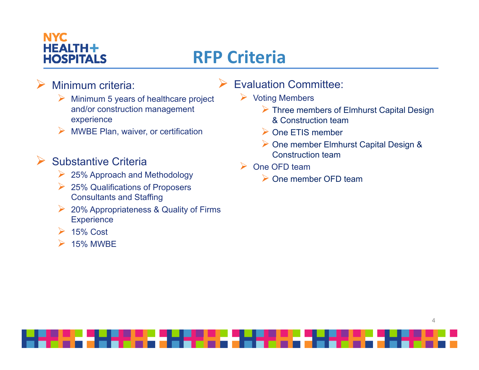# **NYC**  $HEALTH+$ **HOSPITALS**

# **RFP Criteria**

 $\blacktriangleright$ 

#### $\blacktriangleright$ Minimum criteria:

- $\triangleright$  Minimum 5 years of healthcare project and/or construction management experience
- $\triangleright$  MWBE Plan, waiver, or certification

# $\triangleright$  Substantive Criteria

- **25% Approach and Methodology**
- **► 25% Qualifications of Proposers** Consultants and Staffing
- 20% Appropriateness & Quality of Firms **Experience**
- $\triangleright$  15% Cost
- $\triangleright$  15% MWBE

# Evaluation Committee:

- Voting Members
	- ▶ Three members of Elmhurst Capital Design & Construction team
	- ▶ One ETIS member
	- ▶ One member Elmhurst Capital Design & Construction team
- $\triangleright$  One OFD team
	- ▶ One member OFD team

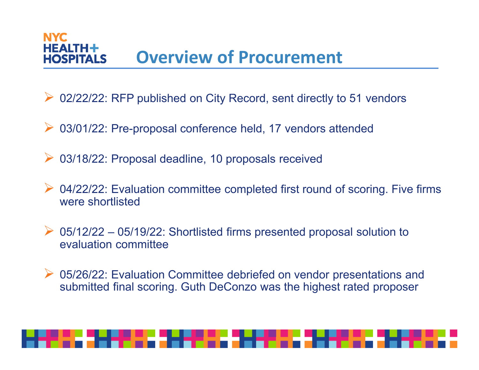# **NYC Overview of Procurement** HOSPITALS

- ▶ 02/22/22: RFP published on City Record, sent directly to 51 vendors
- $\blacktriangleright$ 03/01/22: Pre-proposal conference held, 17 vendors attended
- $\blacktriangleright$ 03/18/22: Proposal deadline, 10 proposals received
- ▶ 04/22/22: Evaluation committee completed first round of scoring. Five firms were shortlisted
- $\triangleright$  05/12/22 05/19/22: Shortlisted firms presented proposal solution to evaluation committee
- ▶ 05/26/22: Evaluation Committee debriefed on vendor presentations and submitted final scoring. Guth DeConzo was the highest rated proposer

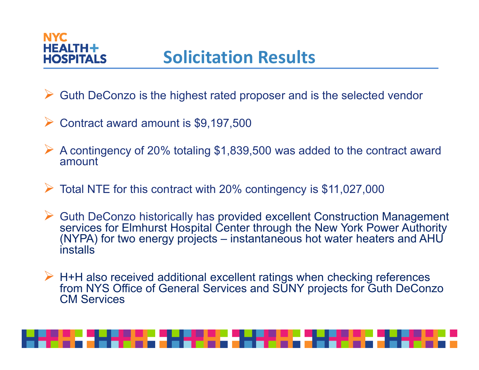## **NYC** НЕАІТН+ **HOSPITALS**

- Guth DeConzo is the highest rated proposer and is the selected vendor
- $\triangleright$  Contract award amount is \$9,197,500
- A contingency of 20% totaling \$1,839,500 was added to the contract award amount
- Total NTE for this contract with 20% contingency is \$11,027,000
- Guth DeConzo historically has provided excellent Construction Management services for Elmhurst Hospital Center through the New York Power Authority (NYPA) for two energy projects – instantaneous hot water heaters and AHU installs
- H+H also received additional excellent ratings when checking references from NYS Office of General Services and SUNY projects for Guth DeConzo CM Services

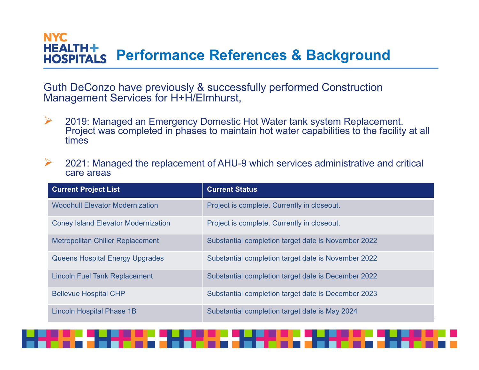#### **NYC HEALTH+ Performance References & Background HOSPITALS**

Guth DeConzo have previously & successfully performed Construction Management Services for H+H/Elmhurst,

 $\blacktriangleright$  2019: Managed an Emergency Domestic Hot Water tank system Replacement. Project was completed in phases to maintain hot water capabilities to the facility at all times

 $\sum_{i=1}^{n}$  2021: Managed the replacement of AHU-9 which services administrative and critical care areas

| <b>Current Project List</b>                | <b>Current Status</b>                               |
|--------------------------------------------|-----------------------------------------------------|
| <b>Woodhull Elevator Modernization</b>     | Project is complete. Currently in closeout.         |
| <b>Coney Island Elevator Modernization</b> | Project is complete. Currently in closeout.         |
| <b>Metropolitan Chiller Replacement</b>    | Substantial completion target date is November 2022 |
| <b>Queens Hospital Energy Upgrades</b>     | Substantial completion target date is November 2022 |
| <b>Lincoln Fuel Tank Replacement</b>       | Substantial completion target date is December 2022 |
| <b>Bellevue Hospital CHP</b>               | Substantial completion target date is December 2023 |
| <b>Lincoln Hospital Phase 1B</b>           | Substantial completion target date is May 2024      |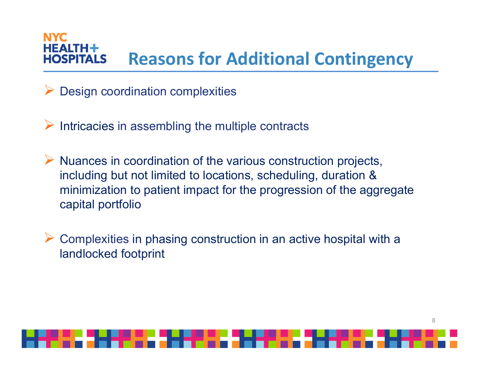# **NYC Reasons for Additional Contingency** HOSPITALS

- $\blacktriangleright$ Design coordination complexities
- $\triangleright$  Intricacies in assembling the multiple contracts
- $\triangleright$  Nuances in coordination of the various construction projects, including but not limited to locations, scheduling, duration & minimization to patient impact for the progression of the aggregate capital portfolio
- Complexities in phasing construction in an active hospital with a landlocked footprint

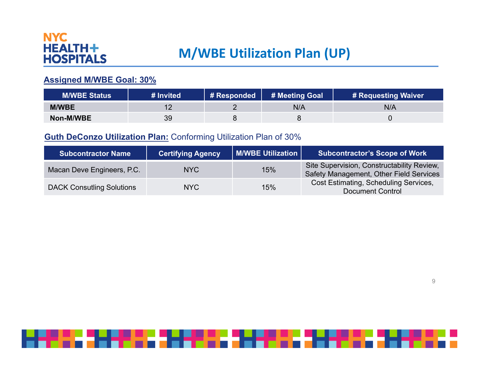## **NYC HEALTH+ HOSPITALS**

# **M/WBE Utilization Plan (UP)**

## **Assigned M/WBE Goal: 30%**

| <b>M/WBE Status</b> | # Invited | # Responded | # Meeting Goal | # Requesting Waiver |
|---------------------|-----------|-------------|----------------|---------------------|
| <b>M/WBE</b>        |           |             | N/A            | N/A                 |
| Non-M/WBE           | 39        |             |                |                     |

## **Guth DeConzo Utilization Plan:** Conforming Utilization Plan of 30%

| <b>Subcontractor Name</b>        | <b>Certifying Agency</b> | M/WBE Utilization | Subcontractor's Scope of Work                                                         |
|----------------------------------|--------------------------|-------------------|---------------------------------------------------------------------------------------|
| Macan Deve Engineers, P.C.       | NYC                      | 15%               | Site Supervision, Constructability Review,<br>Safety Management, Other Field Services |
| <b>DACK Consutling Solutions</b> | NYC.                     | 15%               | Cost Estimating, Scheduling Services,<br>Document Control                             |

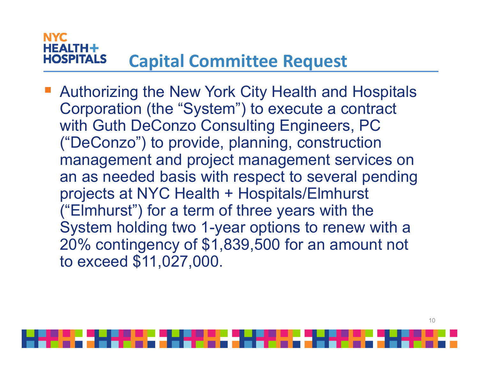### **NYC** НЕАІТН+ **Capital Committee Request** HOSPITALS

 Authorizing the New York City Health and Hospitals Corporation (the "System") to execute a contract with Guth DeConzo Consulting Engineers, PC ("DeConzo") to provide, planning, construction management and project management services on an as needed basis with respect to several pending projects at NYC Health + Hospitals/Elmhurst ("Elmhurst") for a term of three years with the System holding two 1-year options to renew with a 20% contingency of \$1,839,500 for an amount not to exceed \$11,027,000.

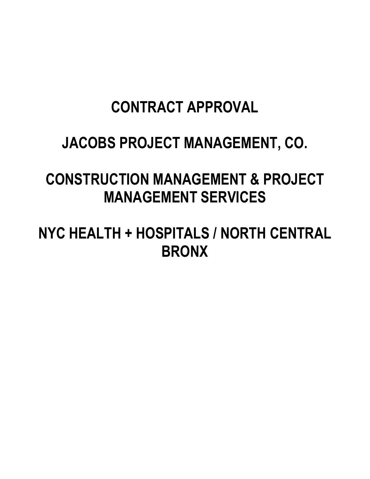# **CONTRACT APPROVAL**

# **JACOBS PROJECT MANAGEMENT, CO.**

# **CONSTRUCTION MANAGEMENT & PROJECT MANAGEMENT SERVICES**

# **NYC HEALTH + HOSPITALS / NORTH CENTRAL BRONX**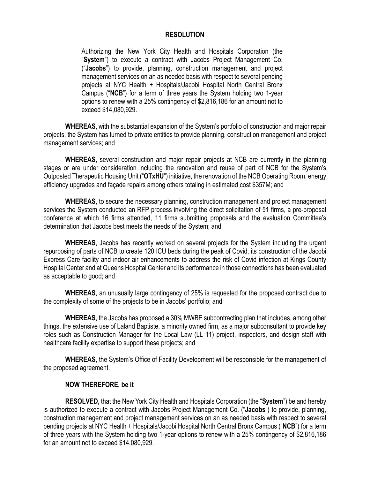#### **RESOLUTION**

Authorizing the New York City Health and Hospitals Corporation (the "**System**") to execute a contract with Jacobs Project Management Co. ("**Jacobs**") to provide, planning, construction management and project management services on an as needed basis with respect to several pending projects at NYC Health + Hospitals/Jacobi Hospital North Central Bronx Campus ("**NCB**") for a term of three years the System holding two 1-year options to renew with a 25% contingency of \$2,816,186 for an amount not to exceed \$14,080,929.

**WHEREAS**, with the substantial expansion of the System's portfolio of construction and major repair projects, the System has turned to private entities to provide planning, construction management and project management services; and

**WHEREAS**, several construction and major repair projects at NCB are currently in the planning stages or are under consideration including the renovation and reuse of part of NCB for the System's Outposted Therapeutic Housing Unit ("**OTxHU**") initiative, the renovation of the NCB Operating Room, energy efficiency upgrades and façade repairs among others totaling in estimated cost \$357M; and

**WHEREAS**, to secure the necessary planning, construction management and project management services the System conducted an RFP process involving the direct solicitation of 51 firms, a pre-proposal conference at which 16 firms attended, 11 firms submitting proposals and the evaluation Committee's determination that Jacobs best meets the needs of the System; and

**WHEREAS**, Jacobs has recently worked on several projects for the System including the urgent repurposing of parts of NCB to create 120 ICU beds during the peak of Covid, its construction of the Jacobi Express Care facility and indoor air enhancements to address the risk of Covid infection at Kings County Hospital Center and at Queens Hospital Center and its performance in those connections has been evaluated as acceptable to good; and

**WHEREAS**, an unusually large contingency of 25% is requested for the proposed contract due to the complexity of some of the projects to be in Jacobs' portfolio; and

 **WHEREAS**, the Jacobs has proposed a 30% MWBE subcontracting plan that includes, among other things, the extensive use of Laland Baptiste, a minority owned firm, as a major subconsultant to provide key roles such as Construction Manager for the Local Law (LL 11) project, inspectors, and design staff with healthcare facility expertise to support these projects; and

**WHEREAS**, the System's Office of Facility Development will be responsible for the management of the proposed agreement.

#### **NOW THEREFORE, be it**

**RESOLVED,** that the New York City Health and Hospitals Corporation (the "**System**") be and hereby is authorized to execute a contract with Jacobs Project Management Co. ("**Jacobs**") to provide, planning, construction management and project management services on an as needed basis with respect to several pending projects at NYC Health + Hospitals/Jacobi Hospital North Central Bronx Campus ("**NCB**") for a term of three years with the System holding two 1-year options to renew with a 25% contingency of \$2,816,186 for an amount not to exceed \$14,080,929.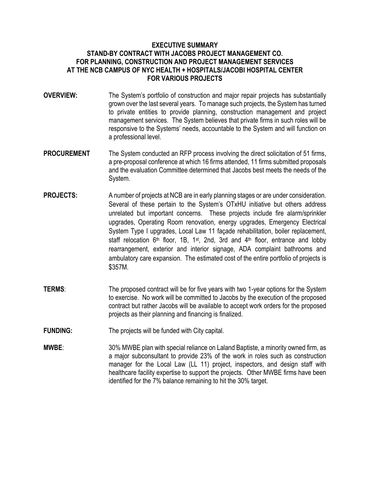#### **EXECUTIVE SUMMARY STAND-BY CONTRACT WITH JACOBS PROJECT MANAGEMENT CO. FOR PLANNING, CONSTRUCTION AND PROJECT MANAGEMENT SERVICES AT THE NCB CAMPUS OF NYC HEALTH + HOSPITALS/JACOBI HOSPITAL CENTER FOR VARIOUS PROJECTS**

- **OVERVIEW:** The System's portfolio of construction and major repair projects has substantially grown over the last several years. To manage such projects, the System has turned to private entities to provide planning, construction management and project management services. The System believes that private firms in such roles will be responsive to the Systems' needs, accountable to the System and will function on a professional level.
- **PROCUREMENT** The System conducted an RFP process involving the direct solicitation of 51 firms, a pre-proposal conference at which 16 firms attended, 11 firms submitted proposals and the evaluation Committee determined that Jacobs best meets the needs of the System.
- **PROJECTS:** A number of projects at NCB are in early planning stages or are under consideration. Several of these pertain to the System's OTxHU initiative but others address unrelated but important concerns. These projects include fire alarm/sprinkler upgrades, Operating Room renovation, energy upgrades, Emergency Electrical System Type I upgrades, Local Law 11 façade rehabilitation, boiler replacement, staff relocation  $6<sup>th</sup>$  floor, 1B, 1<sup>st</sup>, 2nd, 3rd and 4<sup>th</sup> floor, entrance and lobby rearrangement, exterior and interior signage, ADA complaint bathrooms and ambulatory care expansion. The estimated cost of the entire portfolio of projects is \$357M.
- **TERMS:** The proposed contract will be for five years with two 1-year options for the System to exercise. No work will be committed to Jacobs by the execution of the proposed contract but rather Jacobs will be available to accept work orders for the proposed projects as their planning and financing is finalized.
- **FUNDING:** The projects will be funded with City capital.
- **MWBE**: 30% MWBE plan with special reliance on Laland Baptiste, a minority owned firm, as a major subconsultant to provide 23% of the work in roles such as construction manager for the Local Law (LL 11) project, inspectors, and design staff with healthcare facility expertise to support the projects. Other MWBE firms have been identified for the 7% balance remaining to hit the 30% target.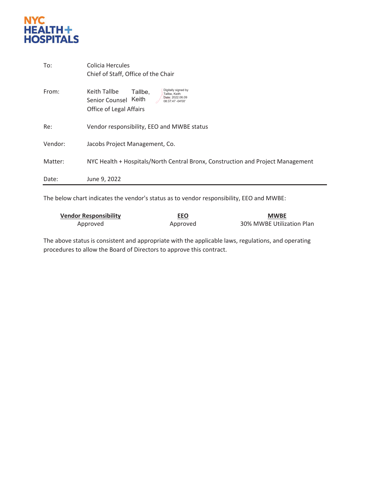

| To:     | Colicia Hercules<br>Chief of Staff, Office of the Chair                                                                                                       |
|---------|---------------------------------------------------------------------------------------------------------------------------------------------------------------|
| From:   | Digitally signed by<br>Keith Tallbe<br>Tallbe,<br>Tallbe, Keith<br>Date: 2022.06.09<br>Keith<br>Senior Counsel<br>08:37:47 -04'00'<br>Office of Legal Affairs |
| Re:     | Vendor responsibility, EEO and MWBE status                                                                                                                    |
| Vendor: | Jacobs Project Management, Co.                                                                                                                                |
| Matter: | NYC Health + Hospitals/North Central Bronx, Construction and Project Management                                                                               |
| Date:   | June 9, 2022                                                                                                                                                  |

The below chart indicates the vendor's status as to vendor responsibility, EEO and MWBE:

| <b>Vendor Responsibility</b> | <b>EEO</b> | <b>MWBE</b>               |
|------------------------------|------------|---------------------------|
| Approved                     | Approved   | 30% MWBE Utilization Plan |

The above status is consistent and appropriate with the applicable laws, regulations, and operating procedures to allow the Board of Directors to approve this contract.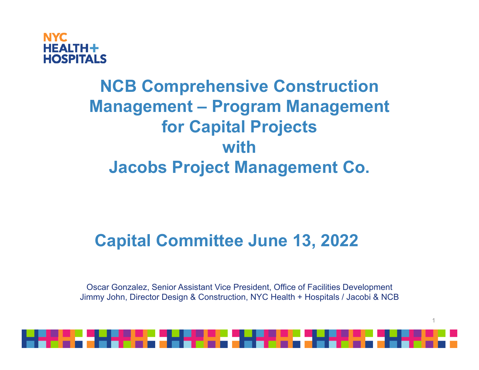## **NYC**  $HEALTH+$ **HOSPITALS**

# **NCB Comprehensive Construction Management – Program Management for Capital Projects with Jacobs Project Management Co.**

# **Capital Committee June 13, 2022**

Oscar Gonzalez, Senior Assistant Vice President, Office of Facilities Development Jimmy John, Director Design & Construction, NYC Health + Hospitals / Jacobi & NCB

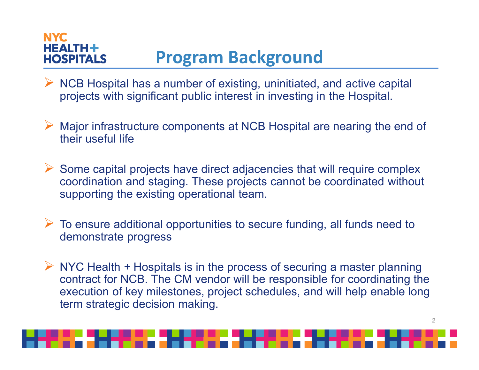### **NYC**  $HEALTH+$ **Program Background HOSPITALS**

- $\triangleright$  NCB Hospital has a number of existing, uninitiated, and active capital projects with significant public interest in investing in the Hospital.
- Major infrastructure components at NCB Hospital are nearing the end of their useful life
- $\triangleright$  Some capital projects have direct adjacencies that will require complex coordination and staging. These projects cannot be coordinated without supporting the existing operational team.
- To ensure additional opportunities to secure funding, all funds need to demonstrate progress
- $\triangleright$  NYC Health + Hospitals is in the process of securing a master planning contract for NCB. The CM vendor will be responsible for coordinating the execution of key milestones, project schedules, and will help enable long term strategic decision making.

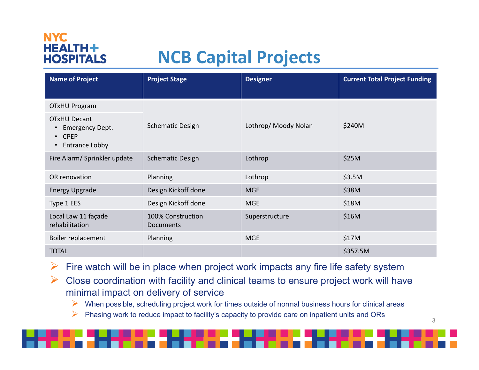# **NYC HEALTH+ HOSPITALS**

# **NCB Capital Projects**

| <b>Name of Project</b>                                                                      | <b>Project Stage</b>           | <b>Designer</b>      | <b>Current Total Project Funding</b> |
|---------------------------------------------------------------------------------------------|--------------------------------|----------------------|--------------------------------------|
| <b>OTxHU Program</b>                                                                        |                                |                      |                                      |
| <b>OTxHU Decant</b><br><b>Emergency Dept.</b><br><b>CPEP</b><br>$\bullet$<br>Entrance Lobby | <b>Schematic Design</b>        | Lothrop/ Moody Nolan | \$240M                               |
| Fire Alarm/ Sprinkler update                                                                | <b>Schematic Design</b>        | Lothrop              | \$25M                                |
| OR renovation                                                                               | Planning                       | Lothrop              | \$3.5M                               |
| <b>Energy Upgrade</b>                                                                       | Design Kickoff done            | <b>MGE</b>           | \$38M                                |
| Type 1 EES                                                                                  | Design Kickoff done            | <b>MGE</b>           | \$18M                                |
| Local Law 11 façade<br>rehabilitation                                                       | 100% Construction<br>Documents | Superstructure       | \$16M                                |
| Boiler replacement                                                                          | Planning                       | <b>MGE</b>           | \$17M                                |
| <b>TOTAL</b>                                                                                |                                |                      | \$357.5M                             |

 $\blacktriangleright$ Fire watch will be in place when project work impacts any fire life safety system

 $\blacktriangleright$  Close coordination with facility and clinical teams to ensure project work will have minimal impact on delivery of service

 $\triangleright$  When possible, scheduling project work for times outside of normal business hours for clinical areas

3

➤ Phasing work to reduce impact to facility's capacity to provide care on inpatient units and ORs

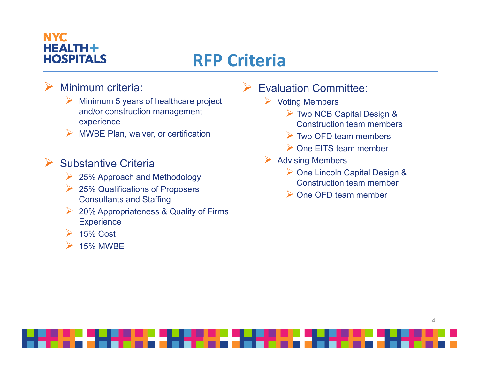# **NYC**  $HEALTH+$ **HOSPITALS**

# **RFP Criteria**

# $\triangleright$  Minimum criteria:

- ▶ Minimum 5 years of healthcare project and/or construction management experience
- $\triangleright$  MWBE Plan, waiver, or certification

# $\triangleright$  Substantive Criteria

- **25% Approach and Methodology**
- **► 25% Qualifications of Proposers** Consultants and Staffing
- 20% Appropriateness & Quality of Firms **Experience**
- $\blacktriangleright$ 15% Cost
- $\triangleright$ 15% MWBE
- $\triangleright$  Evaluation Committee:
	- Voting Members
		- Two NCB Capital Design & Construction team members
		- $\triangleright$  Two OFD team members
		- ▶ One EITS team member
	- $\triangleright$  Advising Members
		- ▶ One Lincoln Capital Design & Construction team member
		- ▶ One OFD team member

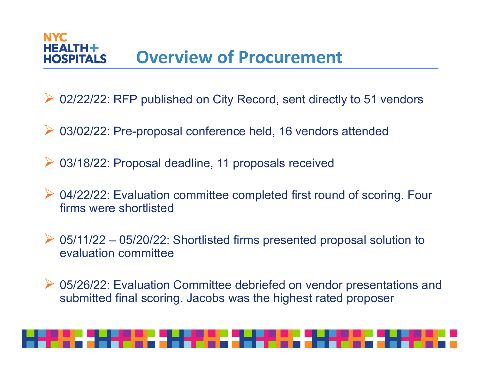# **NYC Overview of Procurement** HOSPITALS

- ▶ 02/22/22: RFP published on City Record, sent directly to 51 vendors
- 03/02/22: Pre-proposal conference held, 16 vendors attended
- ▶ 03/18/22: Proposal deadline, 11 proposals received
- ▶ 04/22/22: Evaluation committee completed first round of scoring. Four firms were shortlisted
- ▶ 05/11/22 05/20/22: Shortlisted firms presented proposal solution to evaluation committee
- ▶ 05/26/22: Evaluation Committee debriefed on vendor presentations and submitted final scoring. Jacobs was the highest rated proposer

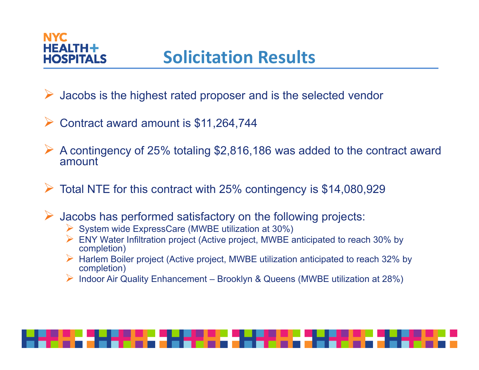## **NYC HEALTH+ HOSPITALS**

- $\blacktriangleright$ Jacobs is the highest rated proposer and is the selected vendor
- Contract award amount is \$11,264,744
- $\blacktriangleright$  <sup>A</sup> contingency of 25% totaling \$2,816,186 was added to the contract award amount
- Total NTE for this contract with 25% contingency is \$14,080,929
- $\blacktriangleright$  Jacobs has performed satisfactory on the following projects:<br>  $\blacktriangleright$  System wide ExpressCare (MWBE utilization at 30%)
	- $\blacktriangleright$ System wide ExpressCare (MWBE utilization at 30%)
	- ENY Water Infiltration project (Active project, MWBE anticipated to reach 30% by completion)
	- Harlem Boiler project (Active project, MWBE utilization anticipated to reach 32% by completion) completion)
	- Indoor Air Quality Enhancement Brooklyn & Queens (MWBE utilization at 28%)

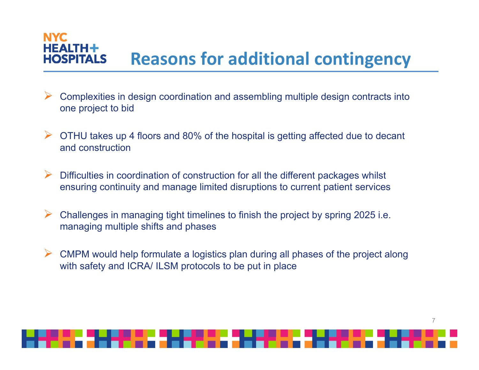### **NYC HEALTH+ Reasons for additional contingency HOSPITALS**

- $\triangleright$  Complexities in design coordination and assembling multiple design contracts into one project to bid
- $\triangleright$  OTHU takes up 4 floors and 80% of the hospital is getting affected due to decant and construction
- $\triangleright$  Difficulties in coordination of construction for all the different packages whilst ensuring continuity and manage limited disruptions to current patient services
- $\triangleright$  Challenges in managing tight timelines to finish the project by spring 2025 i.e. managing multiple shifts and phases
- $\triangleright$  CMPM would help formulate a logistics plan during all phases of the project along with safety and ICRA/ ILSM protocols to be put in place

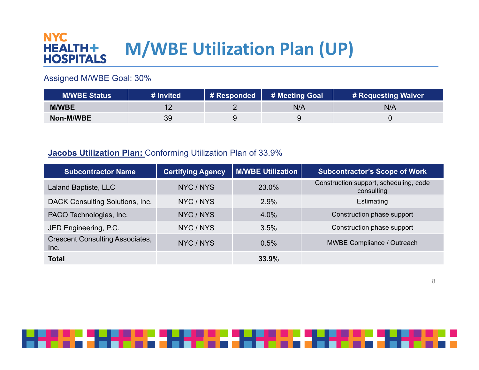### **NYC M/WBE Utilization Plan (UP) HEALTH+ HOSPITALS**

## Assigned M/WBE Goal: 30%

| <b>M/WBE Status</b> | # Invited | # Responded | # Meeting Goal | # Requesting Waiver |
|---------------------|-----------|-------------|----------------|---------------------|
| <b>M/WBE</b>        |           |             | N/A            | N/A                 |
| Non-M/WBE           | 39        |             |                |                     |

# **Jacobs Utilization Plan:** Conforming Utilization Plan of 33.9%

| <b>Subcontractor Name</b>                      | <b>Certifying Agency</b> | <b>M/WBE Utilization</b> | <b>Subcontractor's Scope of Work</b>                 |
|------------------------------------------------|--------------------------|--------------------------|------------------------------------------------------|
| Laland Baptiste, LLC                           | NYC / NYS                | 23.0%                    | Construction support, scheduling, code<br>consulting |
| DACK Consulting Solutions, Inc.                | NYC / NYS                | 2.9%                     | Estimating                                           |
| PACO Technologies, Inc.                        | NYC / NYS                | 4.0%                     | Construction phase support                           |
| JED Engineering, P.C.                          | NYC / NYS                | 3.5%                     | Construction phase support                           |
| <b>Crescent Consulting Associates,</b><br>Inc. | NYC / NYS                | 0.5%                     | MWBE Compliance / Outreach                           |
| <b>Total</b>                                   |                          | 33.9%                    |                                                      |